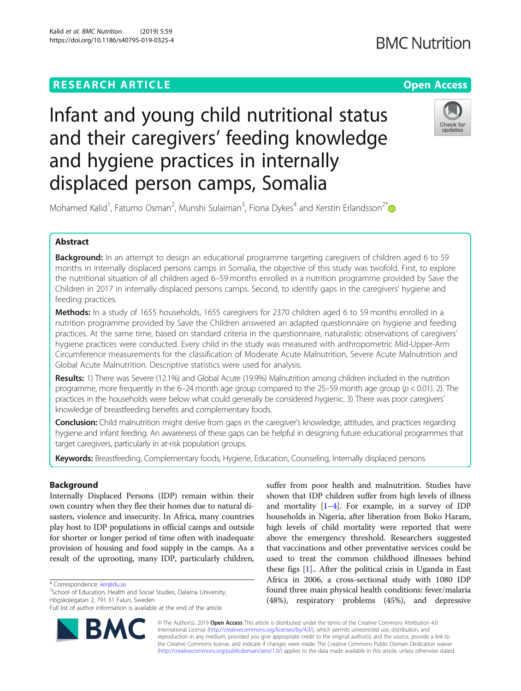# **RESEARCH ARTICLE Example 2014 12:30 The Contract of Contract ACCESS**

# **BMC Nutrition**

# Check for undates

Mohamed Kalid<sup>1</sup>, Fatumo Osman<sup>2</sup>, Munshi Sulaiman<sup>3</sup>, Fiona Dykes<sup>4</sup> and Kerstin Erlandsson<sup>2\*</sup>

Infant and young child nutritional status

and their caregivers' feeding knowledge

and hygiene practices in internally

displaced person camps, Somalia

# Abstract

Background: In an attempt to design an educational programme targeting caregivers of children aged 6 to 59 months in internally displaced persons camps in Somalia, the objective of this study was twofold. First, to explore the nutritional situation of all children aged 6–59 months enrolled in a nutrition programme provided by Save the Children in 2017 in internally displaced persons camps. Second, to identify gaps in the caregivers' hygiene and feeding practices.

**Methods:** In a study of 1655 households, 1655 caregivers for 2370 children aged 6 to 59 months enrolled in a nutrition programme provided by Save the Children answered an adapted questionnaire on hygiene and feeding practices. At the same time, based on standard criteria in the questionnaire, naturalistic observations of caregivers' hygiene practices were conducted. Every child in the study was measured with anthropometric Mid-Upper-Arm Circumference measurements for the classification of Moderate Acute Malnutrition, Severe Acute Malnutrition and Global Acute Malnutrition. Descriptive statistics were used for analysis.

Results: 1) There was Severe (12.1%) and Global Acute (19.9%) Malnutrition among children included in the nutrition programme, more frequently in the 6–24 month age group compared to the 25–59 month age group ( $p < 0.01$ ). 2). The practices in the households were below what could generally be considered hygienic. 3) There was poor caregivers' knowledge of breastfeeding benefits and complementary foods.

**Conclusion:** Child malnutrition might derive from gaps in the caregiver's knowledge, attitudes, and practices regarding hygiene and infant feeding. An awareness of these gaps can be helpful in designing future educational programmes that target caregivers, particularly in at-risk population groups.

Keywords: Breastfeeding, Complementary foods, Hygiene, Education, Counseling, Internally displaced persons

# Background

Internally Displaced Persons (IDP) remain within their own country when they flee their homes due to natural disasters, violence and insecurity. In Africa, many countries play host to IDP populations in official camps and outside for shorter or longer period of time often with inadequate provision of housing and food supply in the camps. As a result of the uprooting, many IDP, particularly children,

\* Correspondence: [ker@du.se](mailto:ker@du.se) <sup>2</sup>

<sup>2</sup>School of Education, Health and Social Studies, Dalarna University, Högskolegatan 2, 791 31 Falun, Sweden

Full list of author information is available at the end of the article



suffer from poor health and malnutrition. Studies have shown that IDP children suffer from high levels of illness and mortality  $[1-4]$  $[1-4]$  $[1-4]$  $[1-4]$  $[1-4]$ . For example, in a survey of IDP households in Nigeria, after liberation from Boko Haram, high levels of child mortality were reported that were above the emergency threshold. Researchers suggested that vaccinations and other preventative services could be used to treat the common childhood illnesses behind these figs [\[1](#page-9-0)].. After the political crisis in Uganda in East Africa in 2006, a cross-sectional study with 1080 IDP found three main physical health conditions: fever/malaria (48%), respiratory problems (45%), and depressive

© The Author(s). 2019 **Open Access** This article is distributed under the terms of the Creative Commons Attribution 4.0 International License [\(http://creativecommons.org/licenses/by/4.0/](http://creativecommons.org/licenses/by/4.0/)), which permits unrestricted use, distribution, and reproduction in any medium, provided you give appropriate credit to the original author(s) and the source, provide a link to the Creative Commons license, and indicate if changes were made. The Creative Commons Public Domain Dedication waiver [\(http://creativecommons.org/publicdomain/zero/1.0/](http://creativecommons.org/publicdomain/zero/1.0/)) applies to the data made available in this article, unless otherwise stated.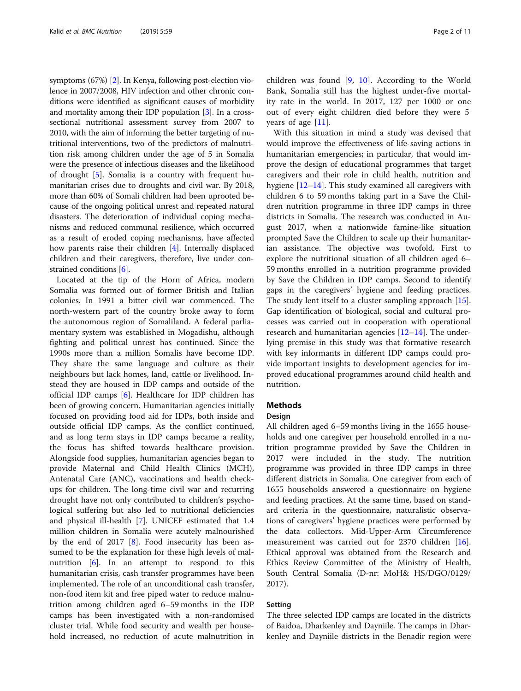symptoms (67%) [[2](#page-9-0)]. In Kenya, following post-election violence in 2007/2008, HIV infection and other chronic conditions were identified as significant causes of morbidity and mortality among their IDP population [[3](#page-9-0)]. In a crosssectional nutritional assessment survey from 2007 to 2010, with the aim of informing the better targeting of nutritional interventions, two of the predictors of malnutrition risk among children under the age of 5 in Somalia were the presence of infectious diseases and the likelihood of drought [\[5\]](#page-9-0). Somalia is a country with frequent humanitarian crises due to droughts and civil war. By 2018, more than 60% of Somali children had been uprooted because of the ongoing political unrest and repeated natural disasters. The deterioration of individual coping mechanisms and reduced communal resilience, which occurred as a result of eroded coping mechanisms, have affected how parents raise their children [[4\]](#page-9-0). Internally displaced children and their caregivers, therefore, live under constrained conditions [[6\]](#page-9-0).

Located at the tip of the Horn of Africa, modern Somalia was formed out of former British and Italian colonies. In 1991 a bitter civil war commenced. The north-western part of the country broke away to form the autonomous region of Somaliland. A federal parliamentary system was established in Mogadishu, although fighting and political unrest has continued. Since the 1990s more than a million Somalis have become IDP. They share the same language and culture as their neighbours but lack homes, land, cattle or livelihood. Instead they are housed in IDP camps and outside of the official IDP camps [\[6](#page-9-0)]. Healthcare for IDP children has been of growing concern. Humanitarian agencies initially focused on providing food aid for IDPs, both inside and outside official IDP camps. As the conflict continued, and as long term stays in IDP camps became a reality, the focus has shifted towards healthcare provision. Alongside food supplies, humanitarian agencies began to provide Maternal and Child Health Clinics (MCH), Antenatal Care (ANC), vaccinations and health checkups for children. The long-time civil war and recurring drought have not only contributed to children's psychological suffering but also led to nutritional deficiencies and physical ill-health [\[7](#page-9-0)]. UNICEF estimated that 1.4 million children in Somalia were acutely malnourished by the end of 2017 [\[8](#page-9-0)]. Food insecurity has been assumed to be the explanation for these high levels of mal-nutrition [[6\]](#page-9-0). In an attempt to respond to this humanitarian crisis, cash transfer programmes have been implemented. The role of an unconditional cash transfer, non-food item kit and free piped water to reduce malnutrition among children aged 6–59 months in the IDP camps has been investigated with a non-randomised cluster trial. While food security and wealth per household increased, no reduction of acute malnutrition in children was found [[9,](#page-9-0) [10](#page-9-0)]. According to the World Bank, Somalia still has the highest under-five mortality rate in the world. In 2017, 127 per 1000 or one out of every eight children died before they were 5 years of age [[11\]](#page-9-0).

With this situation in mind a study was devised that would improve the effectiveness of life-saving actions in humanitarian emergencies; in particular, that would improve the design of educational programmes that target caregivers and their role in child health, nutrition and hygiene [\[12](#page-9-0)–[14\]](#page-9-0). This study examined all caregivers with children 6 to 59 months taking part in a Save the Children nutrition programme in three IDP camps in three districts in Somalia. The research was conducted in August 2017, when a nationwide famine-like situation prompted Save the Children to scale up their humanitarian assistance. The objective was twofold. First to explore the nutritional situation of all children aged 6– 59 months enrolled in a nutrition programme provided by Save the Children in IDP camps. Second to identify gaps in the caregivers' hygiene and feeding practices. The study lent itself to a cluster sampling approach [\[15](#page-9-0)]. Gap identification of biological, social and cultural processes was carried out in cooperation with operational research and humanitarian agencies [[12](#page-9-0)–[14](#page-9-0)]. The underlying premise in this study was that formative research with key informants in different IDP camps could provide important insights to development agencies for improved educational programmes around child health and nutrition.

### Methods

#### Design

All children aged 6–59 months living in the 1655 households and one caregiver per household enrolled in a nutrition programme provided by Save the Children in 2017 were included in the study. The nutrition programme was provided in three IDP camps in three different districts in Somalia. One caregiver from each of 1655 households answered a questionnaire on hygiene and feeding practices. At the same time, based on standard criteria in the questionnaire, naturalistic observations of caregivers' hygiene practices were performed by the data collectors. Mid-Upper-Arm Circumference measurement was carried out for 2370 children [\[16](#page-9-0)]. Ethical approval was obtained from the Research and Ethics Review Committee of the Ministry of Health, South Central Somalia (D-nr: MoH& HS/DGO/0129/ 2017).

### Setting

The three selected IDP camps are located in the districts of Baidoa, Dharkenley and Dayniile. The camps in Dharkenley and Dayniile districts in the Benadir region were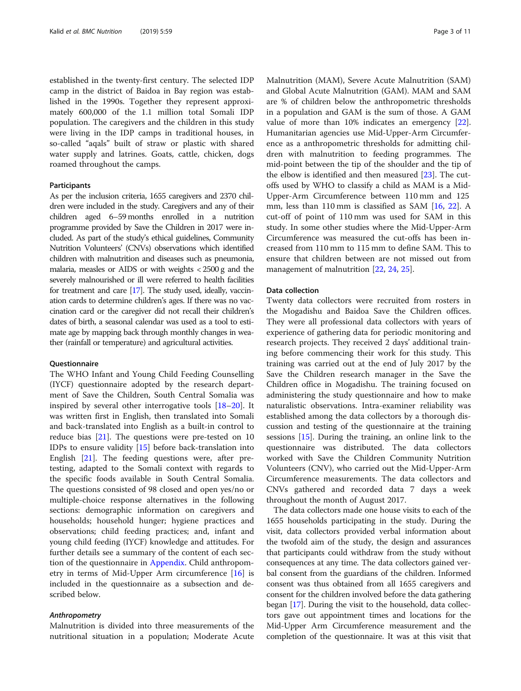established in the twenty-first century. The selected IDP camp in the district of Baidoa in Bay region was established in the 1990s. Together they represent approximately 600,000 of the 1.1 million total Somali IDP population. The caregivers and the children in this study were living in the IDP camps in traditional houses, in so-called "aqals" built of straw or plastic with shared water supply and latrines. Goats, cattle, chicken, dogs roamed throughout the camps.

#### Participants

As per the inclusion criteria, 1655 caregivers and 2370 children were included in the study. Caregivers and any of their children aged 6–59 months enrolled in a nutrition programme provided by Save the Children in 2017 were included. As part of the study's ethical guidelines, Community Nutrition Volunteers' (CNVs) observations which identified children with malnutrition and diseases such as pneumonia, malaria, measles or AIDS or with weights < 2500 g and the severely malnourished or ill were referred to health facilities for treatment and care [\[17](#page-9-0)]. The study used, ideally, vaccination cards to determine children's ages. If there was no vaccination card or the caregiver did not recall their children's dates of birth, a seasonal calendar was used as a tool to estimate age by mapping back through monthly changes in weather (rainfall or temperature) and agricultural activities.

#### **Questionnaire**

The WHO Infant and Young Child Feeding Counselling (IYCF) questionnaire adopted by the research department of Save the Children, South Central Somalia was inspired by several other interrogative tools [[18](#page-9-0)–[20\]](#page-9-0). It was written first in English, then translated into Somali and back-translated into English as a built-in control to reduce bias [\[21](#page-9-0)]. The questions were pre-tested on 10 IDPs to ensure validity [[15\]](#page-9-0) before back-translation into English [\[21\]](#page-9-0). The feeding questions were, after pretesting, adapted to the Somali context with regards to the specific foods available in South Central Somalia. The questions consisted of 98 closed and open yes/no or multiple-choice response alternatives in the following sections: demographic information on caregivers and households; household hunger; hygiene practices and observations; child feeding practices; and, infant and young child feeding (IYCF) knowledge and attitudes. For further details see a summary of the content of each section of the questionnaire in [Appendix](#page-8-0). Child anthropometry in terms of Mid-Upper Arm circumference [\[16\]](#page-9-0) is included in the questionnaire as a subsection and described below.

#### Anthropometry

Malnutrition is divided into three measurements of the nutritional situation in a population; Moderate Acute Malnutrition (MAM), Severe Acute Malnutrition (SAM) and Global Acute Malnutrition (GAM). MAM and SAM are % of children below the anthropometric thresholds in a population and GAM is the sum of those. A GAM value of more than 10% indicates an emergency [\[22](#page-9-0)]. Humanitarian agencies use Mid-Upper-Arm Circumference as a anthropometric thresholds for admitting children with malnutrition to feeding programmes. The mid-point between the tip of the shoulder and the tip of the elbow is identified and then measured [\[23](#page-9-0)]. The cutoffs used by WHO to classify a child as MAM is a Mid-Upper-Arm Circumference between 110 mm and 125 mm, less than 110 mm is classified as SAM [\[16](#page-9-0), [22](#page-9-0)]. A cut-off of point of 110 mm was used for SAM in this study. In some other studies where the Mid-Upper-Arm Circumference was measured the cut-offs has been increased from 110 mm to 115 mm to define SAM. This to ensure that children between are not missed out from management of malnutrition [[22,](#page-9-0) [24,](#page-9-0) [25\]](#page-9-0).

#### Data collection

Twenty data collectors were recruited from rosters in the Mogadishu and Baidoa Save the Children offices. They were all professional data collectors with years of experience of gathering data for periodic monitoring and research projects. They received 2 days' additional training before commencing their work for this study. This training was carried out at the end of July 2017 by the Save the Children research manager in the Save the Children office in Mogadishu. The training focused on administering the study questionnaire and how to make naturalistic observations. Intra-examiner reliability was established among the data collectors by a thorough discussion and testing of the questionnaire at the training sessions [\[15](#page-9-0)]. During the training, an online link to the questionnaire was distributed. The data collectors worked with Save the Children Community Nutrition Volunteers (CNV), who carried out the Mid-Upper-Arm Circumference measurements. The data collectors and CNVs gathered and recorded data 7 days a week throughout the month of August 2017.

The data collectors made one house visits to each of the 1655 households participating in the study. During the visit, data collectors provided verbal information about the twofold aim of the study, the design and assurances that participants could withdraw from the study without consequences at any time. The data collectors gained verbal consent from the guardians of the children. Informed consent was thus obtained from all 1655 caregivers and consent for the children involved before the data gathering began [\[17](#page-9-0)]. During the visit to the household, data collectors gave out appointment times and locations for the Mid-Upper Arm Circumference measurement and the completion of the questionnaire. It was at this visit that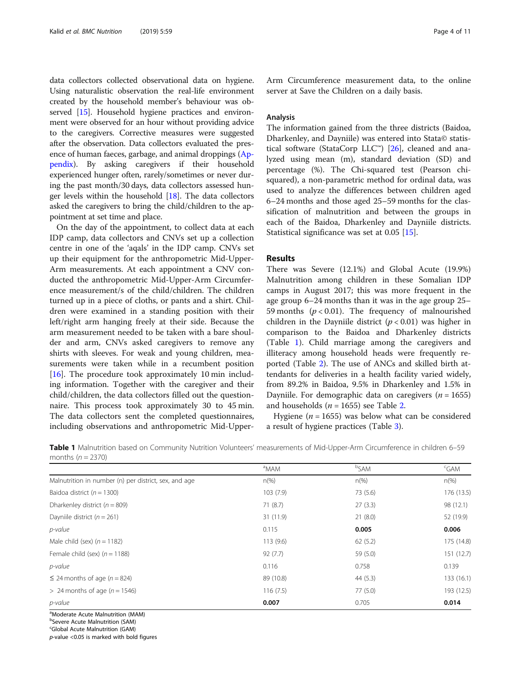data collectors collected observational data on hygiene. Using naturalistic observation the real-life environment created by the household member's behaviour was observed [[15](#page-9-0)]. Household hygiene practices and environment were observed for an hour without providing advice to the caregivers. Corrective measures were suggested after the observation. Data collectors evaluated the presence of human faeces, garbage, and animal droppings [\(Ap](#page-8-0)[pendix\)](#page-8-0). By asking caregivers if their household experienced hunger often, rarely/sometimes or never during the past month/30 days, data collectors assessed hunger levels within the household [[18](#page-9-0)]. The data collectors asked the caregivers to bring the child/children to the appointment at set time and place.

On the day of the appointment, to collect data at each IDP camp, data collectors and CNVs set up a collection centre in one of the 'aqals' in the IDP camp. CNVs set up their equipment for the anthropometric Mid-Upper-Arm measurements. At each appointment a CNV conducted the anthropometric Mid-Upper-Arm Circumference measurement/s of the child/children. The children turned up in a piece of cloths, or pants and a shirt. Children were examined in a standing position with their left/right arm hanging freely at their side. Because the arm measurement needed to be taken with a bare shoulder and arm, CNVs asked caregivers to remove any shirts with sleeves. For weak and young children, measurements were taken while in a recumbent position [[16\]](#page-9-0). The procedure took approximately 10 min including information. Together with the caregiver and their child/children, the data collectors filled out the questionnaire. This process took approximately 30 to 45 min. The data collectors sent the completed questionnaires, including observations and anthropometric Mid-Upper-

Arm Circumference measurement data, to the online server at Save the Children on a daily basis.

#### Analysis

The information gained from the three districts (Baidoa, Dharkenley, and Dayniile) was entered into Stata© statis-tical software (StataCorp LLC<sup>™</sup>) [\[26](#page-9-0)], cleaned and analyzed using mean (m), standard deviation (SD) and percentage (%). The Chi-squared test (Pearson chisquared), a non-parametric method for ordinal data, was used to analyze the differences between children aged 6–24 months and those aged 25–59 months for the classification of malnutrition and between the groups in each of the Baidoa, Dharkenley and Dayniile districts. Statistical significance was set at 0.05 [[15\]](#page-9-0).

#### Results

There was Severe (12.1%) and Global Acute (19.9%) Malnutrition among children in these Somalian IDP camps in August 2017; this was more frequent in the age group 6–24 months than it was in the age group 25– 59 months ( $p < 0.01$ ). The frequency of malnourished children in the Dayniile district  $(p < 0.01)$  was higher in comparison to the Baidoa and Dharkenley districts (Table 1). Child marriage among the caregivers and illiteracy among household heads were frequently reported (Table [2\)](#page-4-0). The use of ANCs and skilled birth attendants for deliveries in a health facility varied widely, from 89.2% in Baidoa, 9.5% in Dharkenley and 1.5% in Dayniile. For demographic data on caregivers ( $n = 1655$ ) and households ( $n = 1655$ ) see Table [2.](#page-4-0)

Hygiene ( $n = 1655$ ) was below what can be considered a result of hygiene practices (Table [3\)](#page-5-0).

Table 1 Malnutrition based on Community Nutrition Volunteers' measurements of Mid-Upper-Arm Circumference in children 6–59 months  $(n = 2370)$ 

|                                                       | <sup>a</sup> MAM | <sup>b</sup> SAM | <sup>c</sup> GAM |
|-------------------------------------------------------|------------------|------------------|------------------|
| Malnutrition in number (n) per district, sex, and age | $n\%$            | $n(\%)$          | $n\frac{9}{6}$   |
| Baidoa district ( $n = 1300$ )                        | 103(7.9)         | 73 (5.6)         | 176 (13.5)       |
| Dharkenley district ( $n = 809$ )                     | 71 (8.7)         | 27(3.3)          | 98 (12.1)        |
| Dayniile district ( $n = 261$ )                       | 31 (11.9)        | 21(8.0)          | 52 (19.9)        |
| p-value                                               | 0.115            | 0.005            | 0.006            |
| Male child (sex) $(n = 1182)$                         | 113(9.6)         | 62(5.2)          | 175 (14.8)       |
| Female child (sex) $(n = 1188)$                       | 92(7.7)          | 59 (5.0)         | 151 (12.7)       |
| p-value                                               | 0.116            | 0.758            | 0.139            |
| $\leq$ 24 months of age (n = 824)                     | 89 (10.8)        | 44(5.3)          | 133 (16.1)       |
| $> 24$ months of age ( $n = 1546$ )                   | 116(7.5)         | 77(5.0)          | 193 (12.5)       |
| p-value                                               | 0.007            | 0.705            | 0.014            |

<sup>a</sup>Moderate Acute Malnutrition (MAM)

b Severe Acute Malnutrition (SAM)

<sup>c</sup>Global Acute Malnutrition (GAM)

 $p$ -value <0.05 is marked with bold figures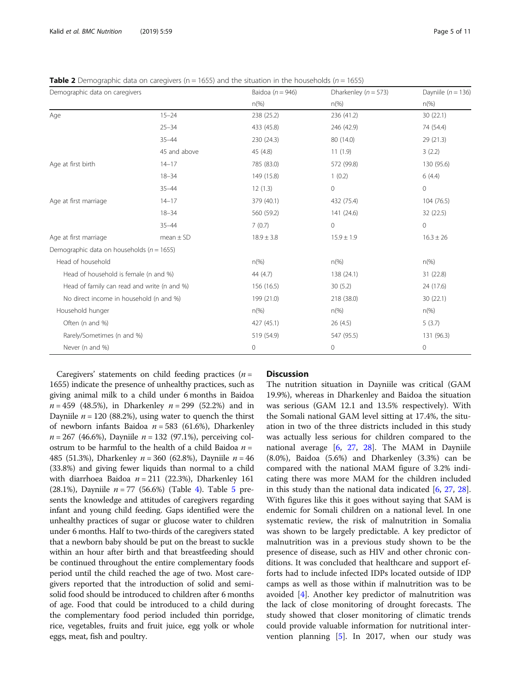<span id="page-4-0"></span>**Table 2** Demographic data on caregivers ( $n = 1655$ ) and the situation in the households ( $n = 1655$ )

| Demographic data on caregivers                |               | Baidoa ( $n = 946$ ) | Dharkenley ( $n = 573$ ) | Dayniile ( $n = 136$ ) |
|-----------------------------------------------|---------------|----------------------|--------------------------|------------------------|
|                                               |               | $n(\%)$              | $n(\%)$                  | $n\frac{\%}{2}$        |
| Age                                           | $15 - 24$     | 238 (25.2)           | 236 (41.2)               | 30(22.1)               |
|                                               | $25 - 34$     | 433 (45.8)           | 246 (42.9)               | 74 (54.4)              |
|                                               | $35 - 44$     | 230 (24.3)           | 80 (14.0)                | 29 (21.3)              |
|                                               | 45 and above  | 45 (4.8)             | 11(1.9)                  | 3(2.2)                 |
| Age at first birth                            | $14 - 17$     | 785 (83.0)           | 572 (99.8)               | 130 (95.6)             |
|                                               | $18 - 34$     | 149 (15.8)           | 1(0.2)                   | 6(4.4)                 |
|                                               | $35 - 44$     | 12(1.3)              | $\circ$                  | $\mathbf 0$            |
| Age at first marriage                         | $14 - 17$     | 379 (40.1)           | 432 (75.4)               | 104 (76.5)             |
|                                               | $18 - 34$     | 560 (59.2)           | 141 (24.6)               | 32 (22.5)              |
|                                               | $35 - 44$     | 7(0.7)               | $\circ$                  | $\mathbf{0}$           |
| Age at first marriage                         | $mean \pm SD$ | $18.9 \pm 3.8$       | $15.9 \pm 1.9$           | $16.3 \pm 26$          |
| Demographic data on households ( $n = 1655$ ) |               |                      |                          |                        |
| Head of household                             |               | $n(\%)$              | $n\frac{\%}{2}$          | $n\frac{\%}{2}$        |
| Head of household is female (n and %)         |               | 44 (4.7)             | 138 (24.1)               | 31 (22.8)              |
| Head of family can read and write (n and %)   |               | 156 (16.5)           | 30(5.2)                  | 24 (17.6)              |
| No direct income in household (n and %)       |               | 199 (21.0)           | 218 (38.0)               | 30(22.1)               |
| Household hunger                              |               | $n(\%)$              | $n\frac{\%}{\%}$         | $n\frac{\%}{2}$        |
| Often (n and %)                               |               | 427 (45.1)           | 26(4.5)                  | 5(3.7)                 |
| Rarely/Sometimes (n and %)                    |               | 519 (54.9)           | 547 (95.5)               | 131 (96.3)             |
| Never (n and %)                               |               | 0                    | $\circ$                  | 0                      |

Caregivers' statements on child feeding practices  $(n =$ 1655) indicate the presence of unhealthy practices, such as giving animal milk to a child under 6 months in Baidoa  $n = 459$  (48.5%), in Dharkenley  $n = 299$  (52.2%) and in Dayniile  $n = 120$  (88.2%), using water to quench the thirst of newborn infants Baidoa  $n = 583$  (61.6%), Dharkenley  $n = 267$  (46.6%), Dayniile  $n = 132$  (97.1%), perceiving colostrum to be harmful to the health of a child Baidoa  $n =$ 485 (51.3%), Dharkenley  $n = 360$  (62.8%), Dayniile  $n = 46$ (33.8%) and giving fewer liquids than normal to a child with diarrhoea Baidoa  $n = 211$  (22.3%), Dharkenley 161 (28.1%), Dayniile  $n = 77$  (56.6%) (Table [4\)](#page-5-0). Table [5](#page-6-0) presents the knowledge and attitudes of caregivers regarding infant and young child feeding. Gaps identified were the unhealthy practices of sugar or glucose water to children under 6 months. Half to two-thirds of the caregivers stated that a newborn baby should be put on the breast to suckle within an hour after birth and that breastfeeding should be continued throughout the entire complementary foods period until the child reached the age of two. Most caregivers reported that the introduction of solid and semisolid food should be introduced to children after 6 months of age. Food that could be introduced to a child during the complementary food period included thin porridge, rice, vegetables, fruits and fruit juice, egg yolk or whole eggs, meat, fish and poultry.

# Discussion

The nutrition situation in Dayniile was critical (GAM 19.9%), whereas in Dharkenley and Baidoa the situation was serious (GAM 12.1 and 13.5% respectively). With the Somali national GAM level sitting at 17.4%, the situation in two of the three districts included in this study was actually less serious for children compared to the national average [[6,](#page-9-0) [27](#page-9-0), [28](#page-10-0)]. The MAM in Dayniile (8.0%), Baidoa (5.6%) and Dharkenley (3.3%) can be compared with the national MAM figure of 3.2% indicating there was more MAM for the children included in this study than the national data indicated [[6,](#page-9-0) [27](#page-9-0), [28](#page-10-0)]. With figures like this it goes without saying that SAM is endemic for Somali children on a national level. In one systematic review, the risk of malnutrition in Somalia was shown to be largely predictable. A key predictor of malnutrition was in a previous study shown to be the presence of disease, such as HIV and other chronic conditions. It was concluded that healthcare and support efforts had to include infected IDPs located outside of IDP camps as well as those within if malnutrition was to be avoided [[4](#page-9-0)]. Another key predictor of malnutrition was the lack of close monitoring of drought forecasts. The study showed that closer monitoring of climatic trends could provide valuable information for nutritional intervention planning  $[5]$  $[5]$ . In 2017, when our study was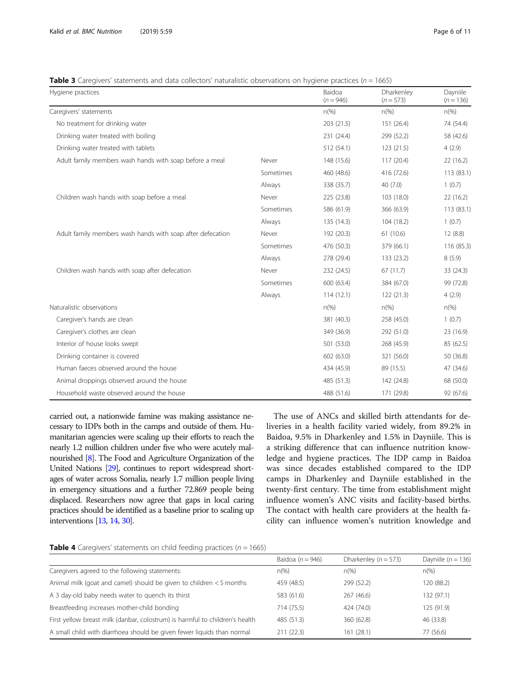<span id="page-5-0"></span>**Table 3** Caregivers' statements and data collectors' naturalistic observations on hygiene practices ( $n = 1665$ )

| Hygiene practices                                          |           | Baidoa         | Dharkenley      | Dayniile                 |
|------------------------------------------------------------|-----------|----------------|-----------------|--------------------------|
|                                                            |           | $(n = 946)$    | $(n = 573)$     | $(n = 136)$              |
| Caregivers' statements                                     |           | $n\frac{9}{6}$ | $n\frac{\%}{2}$ | $n\frac{\%}{2}$          |
| No treatment for drinking water                            |           | 203 (21.5)     | 151 (26.4)      | 74 (54.4)                |
| Drinking water treated with boiling                        |           | 231 (24.4)     | 299 (52.2)      | 58 (42.6)                |
| Drinking water treated with tablets                        |           | 512 (54.1)     | 123(21.5)       | 4(2.9)                   |
| Adult family members wash hands with soap before a meal    | Never     | 148 (15.6)     | 117(20.4)       | 22(16.2)                 |
|                                                            | Sometimes | 460 (48.6)     | 416 (72.6)      | 113 (83.1)               |
|                                                            | Always    | 338 (35.7)     | 40(7.0)         | 1(0.7)                   |
| Children wash hands with soap before a meal                | Never     | 225 (23.8)     | 103 (18.0)      | 22 (16.2)                |
|                                                            | Sometimes | 586 (61.9)     | 366 (63.9)      | 113 (83.1)               |
|                                                            | Always    | 135 (14.3)     | 104 (18.2)      | 1(0.7)                   |
| Adult family members wash hands with soap after defecation | Never     | 192 (20.3)     | 61(10.6)        | 12(8.8)                  |
|                                                            | Sometimes | 476 (50.3)     | 379 (66.1)      | 116 (85.3)               |
|                                                            | Always    | 278 (29.4)     | 133 (23.2)      | 8(5.9)                   |
| Children wash hands with soap after defecation             | Never     | 232 (24.5)     | 67(11.7)        | 33 (24.3)                |
|                                                            | Sometimes | 600 (63.4)     | 384 (67.0)      | 99 (72.8)                |
|                                                            | Always    | 114(12.1)      | 122(21.3)       | 4(2.9)                   |
| Naturalistic observations                                  |           | $n\frac{9}{6}$ | $n\frac{\%}{2}$ | $n\frac{\omega}{\omega}$ |
| Caregiver's hands are clean                                |           | 381 (40.3)     | 258 (45.0)      | 1(0.7)                   |
| Caregiver's clothes are clean                              |           | 349 (36.9)     | 292 (51.0)      | 23 (16.9)                |
| Interior of house looks swept                              |           | 501 (53.0)     | 268 (45.9)      | 85 (62.5)                |
| Drinking container is covered                              |           | 602 (63.0)     | 321 (56.0)      | 50 (36.8)                |
| Human faeces observed around the house                     |           | 434 (45.9)     | 89 (15.5)       | 47 (34.6)                |
| Animal droppings observed around the house                 |           | 485 (51.3)     | 142 (24.8)      | 68 (50.0)                |
| Household waste observed around the house                  |           | 488 (51.6)     | 171 (29.8)      | 92 (67.6)                |

carried out, a nationwide famine was making assistance necessary to IDPs both in the camps and outside of them. Humanitarian agencies were scaling up their efforts to reach the nearly 1.2 million children under five who were acutely malnourished [\[8\]](#page-9-0). The Food and Agriculture Organization of the United Nations [\[29](#page-10-0)], continues to report widespread shortages of water across Somalia, nearly 1.7 million people living in emergency situations and a further 72.869 people being displaced. Researchers now agree that gaps in local caring practices should be identified as a baseline prior to scaling up interventions [\[13](#page-9-0), [14,](#page-9-0) [30\]](#page-10-0).

The use of ANCs and skilled birth attendants for deliveries in a health facility varied widely, from 89.2% in Baidoa, 9.5% in Dharkenley and 1.5% in Dayniile. This is a striking difference that can influence nutrition knowledge and hygiene practices. The IDP camp in Baidoa was since decades established compared to the IDP camps in Dharkenley and Dayniile established in the twenty-first century. The time from establishment might influence women's ANC visits and facility-based births. The contact with health care providers at the health facility can influence women's nutrition knowledge and

**Table 4** Caregivers' statements on child feeding practices ( $n = 1665$ )

|                                                                              | Baidoa ( $n = 946$ ) | Dharkenley ( $n = 573$ ) | Dayniile ( $n = 136$ ) |
|------------------------------------------------------------------------------|----------------------|--------------------------|------------------------|
| Caregivers agreed to the following statements:                               | $n\frac{9}{6}$       | $n\frac{9}{6}$           | $n(\%)$                |
| Animal milk (goat and camel) should be given to children $<$ 5 months        | 459 (48.5)           | 299 (52.2)               | 120 (88.2)             |
| A 3 day-old baby needs water to quench its thirst                            | 583 (61.6)           | 267 (46.6)               | 132 (97.1)             |
| Breastfeeding increases mother-child bonding                                 | 714 (75.5)           | 424 (74.0)               | 125 (91.9)             |
| First yellow breast milk (danbar, colostrum) is harmful to children's health | 485 (51.3)           | 360 (62.8)               | 46 (33.8)              |
| A small child with diarrhoea should be given fewer liquids than normal       | 211(22.3)            | 161(28.1)                | 77 (56.6)              |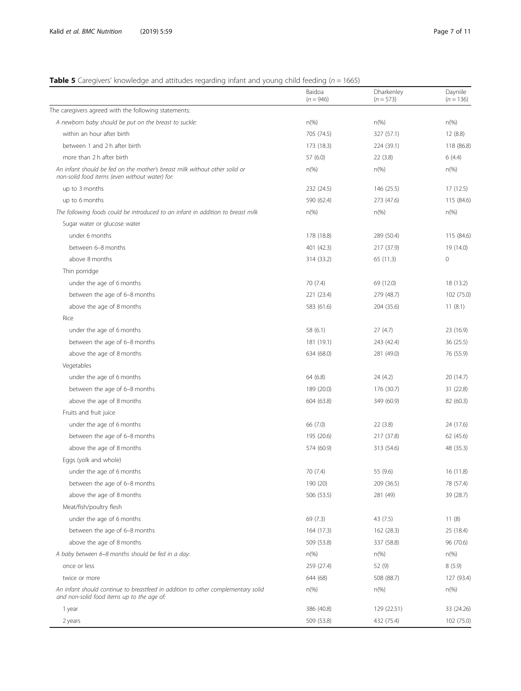# <span id="page-6-0"></span>**Table 5** Caregivers' knowledge and attitudes regarding infant and young child feeding ( $n = 1665$ )

|                                                                                                                                | Baidoa<br>$(n = 946)$ | Dharkenley<br>$(n = 573)$ | Dayniile<br>$(n = 136)$ |
|--------------------------------------------------------------------------------------------------------------------------------|-----------------------|---------------------------|-------------------------|
| The caregivers agreed with the following statements:                                                                           |                       |                           |                         |
| A newborn baby should be put on the breast to suckle:                                                                          | $n(\%)$               | $n(\%)$                   | $n(\%)$                 |
| within an hour after birth                                                                                                     | 705 (74.5)            | 327 (57.1)                | 12(8.8)                 |
| between 1 and 2 h after birth                                                                                                  | 173 (18.3)            | 224 (39.1)                | 118 (86.8)              |
| more than 2 h after birth                                                                                                      | 57(6.0)               | 22(3.8)                   | 6(4.4)                  |
| An infant should be fed on the mother's breast milk without other solid or<br>non-solid food items (even without water) for:   | $n$ (%)               | $n\frac{9}{6}$            | $n(\%)$                 |
| up to 3 months                                                                                                                 | 232 (24.5)            | 146 (25.5)                | 17(12.5)                |
| up to 6 months                                                                                                                 | 590 (62.4)            | 273 (47.6)                | 115 (84.6)              |
| The following foods could be introduced to an infant in addition to breast milk                                                | $n$ (%)               | $n\frac{9}{6}$            | $n(\%)$                 |
| Sugar water or glucose water                                                                                                   |                       |                           |                         |
| under 6 months                                                                                                                 | 178 (18.8)            | 289 (50.4)                | 115 (84.6)              |
| between 6-8 months                                                                                                             | 401 (42.3)            | 217 (37.9)                | 19 (14.0)               |
| above 8 months                                                                                                                 | 314 (33.2)            | 65 (11.3)                 | $\mathbb O$             |
| Thin porridge                                                                                                                  |                       |                           |                         |
| under the age of 6 months                                                                                                      | 70 (7.4)              | 69 (12.0)                 | 18 (13.2)               |
| between the age of 6-8 months                                                                                                  | 221 (23.4)            | 279 (48.7)                | 102 (75.0)              |
| above the age of 8 months                                                                                                      | 583 (61.6)            | 204 (35.6)                | 11(8.1)                 |
| Rice                                                                                                                           |                       |                           |                         |
| under the age of 6 months                                                                                                      | 58 (6.1)              | 27(4.7)                   | 23 (16.9)               |
| between the age of 6-8 months                                                                                                  | 181 (19.1)            | 243 (42.4)                | 36 (25.5)               |
| above the age of 8 months                                                                                                      | 634 (68.0)            | 281 (49.0)                | 76 (55.9)               |
| Vegetables                                                                                                                     |                       |                           |                         |
| under the age of 6 months                                                                                                      | 64 (6.8)              | 24 (4.2)                  | 20 (14.7)               |
| between the age of 6-8 months                                                                                                  | 189 (20.0)            | 176 (30.7)                | 31 (22.8)               |
| above the age of 8 months                                                                                                      | 604 (63.8)            | 349 (60.9)                | 82 (60.3)               |
| Fruits and fruit juice                                                                                                         |                       |                           |                         |
| under the age of 6 months                                                                                                      | 66 (7.0)              | 22(3.8)                   | 24 (17.6)               |
| between the age of 6-8 months                                                                                                  | 195 (20.6)            | 217 (37.8)                | 62 (45.6)               |
| above the age of 8 months                                                                                                      | 574 (60.9)            | 313 (54.6)                | 48 (35.3)               |
| Eggs (yolk and whole)                                                                                                          |                       |                           |                         |
| under the age of 6 months                                                                                                      | 70 (7.4)              | 55 (9.6)                  | 16 (11.8)               |
| between the age of 6-8 months                                                                                                  | 190 (20)              | 209 (36.5)                | 78 (57.4)               |
| above the age of 8 months                                                                                                      | 506 (53.5)            | 281 (49)                  | 39 (28.7)               |
| Meat/fish/poultry flesh                                                                                                        |                       |                           |                         |
| under the age of 6 months                                                                                                      | 69 (7.3)              | 43 (7.5)                  | 11(8)                   |
| between the age of 6-8 months                                                                                                  | 164 (17.3)            | 162 (28.3)                | 25 (18.4)               |
| above the age of 8 months                                                                                                      | 509 (53.8)            | 337 (58.8)                | 96 (70.6)               |
| A baby between 6-8 months should be fed in a day:                                                                              | $n(\%)$               | $n\frac{9}{6}$            | $n\%$                   |
|                                                                                                                                |                       |                           |                         |
| once or less                                                                                                                   | 259 (27.4)            | 52 (9)                    | 8(5.9)                  |
| twice or more                                                                                                                  | 644 (68)              | 508 (88.7)                | 127 (93.4)              |
| An infant should continue to breastfeed in addition to other complementary solid<br>and non-solid food items up to the age of: | $n\frac{9}{6}$        | $n\frac{9}{6}$            | $n\frac{9}{6}$          |
| 1 year                                                                                                                         | 386 (40.8)            | 129 (22.51)               | 33 (24.26)              |
| 2 years                                                                                                                        | 509 (53.8)            | 432 (75.4)                | 102 (75.0)              |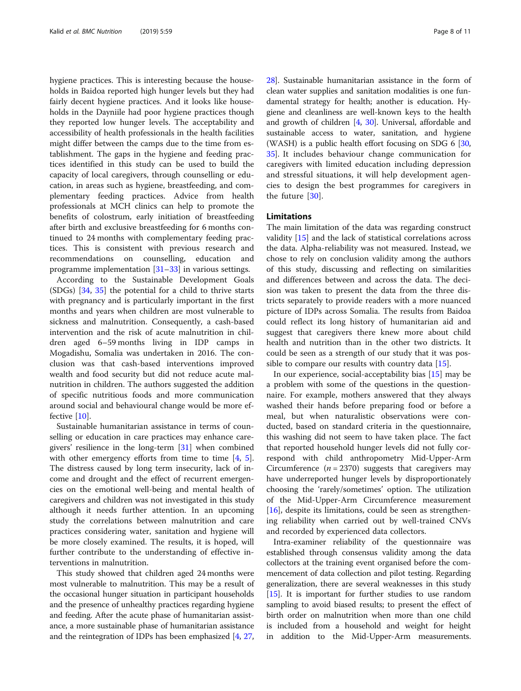hygiene practices. This is interesting because the households in Baidoa reported high hunger levels but they had fairly decent hygiene practices. And it looks like households in the Dayniile had poor hygiene practices though they reported low hunger levels. The acceptability and accessibility of health professionals in the health facilities might differ between the camps due to the time from establishment. The gaps in the hygiene and feeding practices identified in this study can be used to build the capacity of local caregivers, through counselling or education, in areas such as hygiene, breastfeeding, and complementary feeding practices. Advice from health professionals at MCH clinics can help to promote the benefits of colostrum, early initiation of breastfeeding after birth and exclusive breastfeeding for 6 months continued to 24 months with complementary feeding practices. This is consistent with previous research and recommendations on counselling, education and programme implementation [[31](#page-10-0)–[33\]](#page-10-0) in various settings.

According to the Sustainable Development Goals (SDGs) [\[34,](#page-10-0) [35\]](#page-10-0) the potential for a child to thrive starts with pregnancy and is particularly important in the first months and years when children are most vulnerable to sickness and malnutrition. Consequently, a cash-based intervention and the risk of acute malnutrition in children aged 6–59 months living in IDP camps in Mogadishu, Somalia was undertaken in 2016. The conclusion was that cash-based interventions improved wealth and food security but did not reduce acute malnutrition in children. The authors suggested the addition of specific nutritious foods and more communication around social and behavioural change would be more effective [\[10\]](#page-9-0).

Sustainable humanitarian assistance in terms of counselling or education in care practices may enhance caregivers' resilience in the long-term [[31](#page-10-0)] when combined with other emergency efforts from time to time [[4,](#page-9-0) [5](#page-9-0)]. The distress caused by long term insecurity, lack of income and drought and the effect of recurrent emergencies on the emotional well-being and mental health of caregivers and children was not investigated in this study although it needs further attention. In an upcoming study the correlations between malnutrition and care practices considering water, sanitation and hygiene will be more closely examined. The results, it is hoped, will further contribute to the understanding of effective interventions in malnutrition.

This study showed that children aged 24 months were most vulnerable to malnutrition. This may be a result of the occasional hunger situation in participant households and the presence of unhealthy practices regarding hygiene and feeding. After the acute phase of humanitarian assistance, a more sustainable phase of humanitarian assistance and the reintegration of IDPs has been emphasized [[4,](#page-9-0) [27](#page-9-0), [28](#page-10-0)]. Sustainable humanitarian assistance in the form of clean water supplies and sanitation modalities is one fundamental strategy for health; another is education. Hygiene and cleanliness are well-known keys to the health and growth of children [\[4,](#page-9-0) [30](#page-10-0)]. Universal, affordable and sustainable access to water, sanitation, and hygiene (WASH) is a public health effort focusing on SDG 6 [[30](#page-10-0), [35](#page-10-0)]. It includes behaviour change communication for caregivers with limited education including depression and stressful situations, it will help development agencies to design the best programmes for caregivers in the future [\[30](#page-10-0)].

#### Limitations

The main limitation of the data was regarding construct validity [\[15](#page-9-0)] and the lack of statistical correlations across the data. Alpha-reliability was not measured. Instead, we chose to rely on conclusion validity among the authors of this study, discussing and reflecting on similarities and differences between and across the data. The decision was taken to present the data from the three districts separately to provide readers with a more nuanced picture of IDPs across Somalia. The results from Baidoa could reflect its long history of humanitarian aid and suggest that caregivers there knew more about child health and nutrition than in the other two districts. It could be seen as a strength of our study that it was possible to compare our results with country data [[15\]](#page-9-0).

In our experience, social-acceptability bias [[15\]](#page-9-0) may be a problem with some of the questions in the questionnaire. For example, mothers answered that they always washed their hands before preparing food or before a meal, but when naturalistic observations were conducted, based on standard criteria in the questionnaire, this washing did not seem to have taken place. The fact that reported household hunger levels did not fully correspond with child anthropometry Mid-Upper-Arm Circumference  $(n = 2370)$  suggests that caregivers may have underreported hunger levels by disproportionately choosing the 'rarely/sometimes' option. The utilization of the Mid-Upper-Arm Circumference measurement [[16\]](#page-9-0), despite its limitations, could be seen as strengthening reliability when carried out by well-trained CNVs and recorded by experienced data collectors.

Intra-examiner reliability of the questionnaire was established through consensus validity among the data collectors at the training event organised before the commencement of data collection and pilot testing. Regarding generalization, there are several weaknesses in this study [[15](#page-9-0)]. It is important for further studies to use random sampling to avoid biased results; to present the effect of birth order on malnutrition when more than one child is included from a household and weight for height in addition to the Mid-Upper-Arm measurements.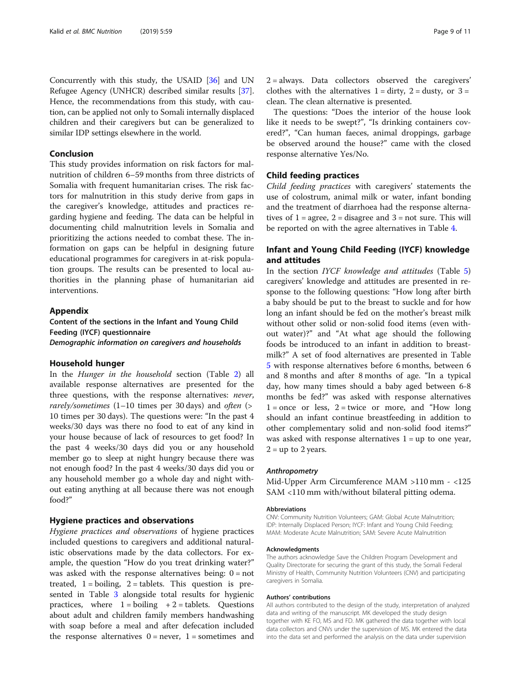<span id="page-8-0"></span>Concurrently with this study, the USAID [[36\]](#page-10-0) and UN Refugee Agency (UNHCR) described similar results [[37](#page-10-0)]. Hence, the recommendations from this study, with caution, can be applied not only to Somali internally displaced children and their caregivers but can be generalized to similar IDP settings elsewhere in the world.

#### Conclusion

This study provides information on risk factors for malnutrition of children 6–59 months from three districts of Somalia with frequent humanitarian crises. The risk factors for malnutrition in this study derive from gaps in the caregiver's knowledge, attitudes and practices regarding hygiene and feeding. The data can be helpful in documenting child malnutrition levels in Somalia and prioritizing the actions needed to combat these. The information on gaps can be helpful in designing future educational programmes for caregivers in at-risk population groups. The results can be presented to local authorities in the planning phase of humanitarian aid interventions.

#### Appendix

Content of the sections in the Infant and Young Child Feeding (IYCF) questionnaire Demographic information on caregivers and households

#### Household hunger

In the Hunger in the household section (Table [2](#page-4-0)) all available response alternatives are presented for the three questions, with the response alternatives: never, rarely/sometimes  $(1-10$  times per 30 days) and often (> 10 times per 30 days). The questions were: "In the past 4 weeks/30 days was there no food to eat of any kind in your house because of lack of resources to get food? In the past 4 weeks/30 days did you or any household member go to sleep at night hungry because there was not enough food? In the past 4 weeks/30 days did you or any household member go a whole day and night without eating anything at all because there was not enough food?"

#### Hygiene practices and observations

Hygiene practices and observations of hygiene practices included questions to caregivers and additional naturalistic observations made by the data collectors. For example, the question "How do you treat drinking water?" was asked with the response alternatives being:  $0 = not$ treated,  $1 =$  boiling,  $2 =$  tablets. This question is presented in Table [3](#page-5-0) alongside total results for hygienic practices, where  $1 = \text{boiling} + 2 = \text{tables}$ . Questions about adult and children family members handwashing with soap before a meal and after defecation included the response alternatives  $0 =$  never,  $1 =$  sometimes and

2 = always. Data collectors observed the caregivers' clothes with the alternatives  $1 = \text{dirty}, 2 = \text{dusty},$  or  $3 = \text{?}$ clean. The clean alternative is presented.

The questions: "Does the interior of the house look like it needs to be swept?", "Is drinking containers covered?", "Can human faeces, animal droppings, garbage be observed around the house?" came with the closed response alternative Yes/No.

## Child feeding practices

Child feeding practices with caregivers' statements the use of colostrum, animal milk or water, infant bonding and the treatment of diarrhoea had the response alternatives of  $1 = \text{agree}$ ,  $2 = \text{disagree}$  and  $3 = \text{not sure}$ . This will be reported on with the agree alternatives in Table [4.](#page-5-0)

# Infant and Young Child Feeding (IYCF) knowledge and attitudes

In the section IYCF knowledge and attitudes (Table [5](#page-6-0)) caregivers' knowledge and attitudes are presented in response to the following questions: "How long after birth a baby should be put to the breast to suckle and for how long an infant should be fed on the mother's breast milk without other solid or non-solid food items (even without water)?" and "At what age should the following foods be introduced to an infant in addition to breastmilk?" A set of food alternatives are presented in Table [5](#page-6-0) with response alternatives before 6 months, between 6 and 8 months and after 8 months of age. "In a typical day, how many times should a baby aged between 6-8 months be fed?" was asked with response alternatives  $1 =$  once or less,  $2 =$  twice or more, and "How long should an infant continue breastfeeding in addition to other complementary solid and non-solid food items?" was asked with response alternatives  $1 = \text{up}$  to one year,  $2 = up to 2 years.$ 

#### Anthropometry

Mid-Upper Arm Circumference MAM >110 mm - <125 SAM <110 mm with/without bilateral pitting odema.

#### Abbreviations

CNV: Community Nutrition Volunteers; GAM: Global Acute Malnutrition; IDP: Internally Displaced Person; IYCF: Infant and Young Child Feeding; MAM: Moderate Acute Malnutrition; SAM: Severe Acute Malnutrition

#### Acknowledgments

The authors acknowledge Save the Children Program Development and Quality Directorate for securing the grant of this study, the Somali Federal Ministry of Health, Community Nutrition Volunteers (CNV) and participating caregivers in Somalia.

#### Authors' contributions

All authors contributed to the design of the study, interpretation of analyzed data and writing of the manuscript. MK developed the study design together with KE FO, MS and FD. MK gathered the data together with local data collectors and CNVs under the supervision of MS. MK entered the data into the data set and performed the analysis on the data under supervision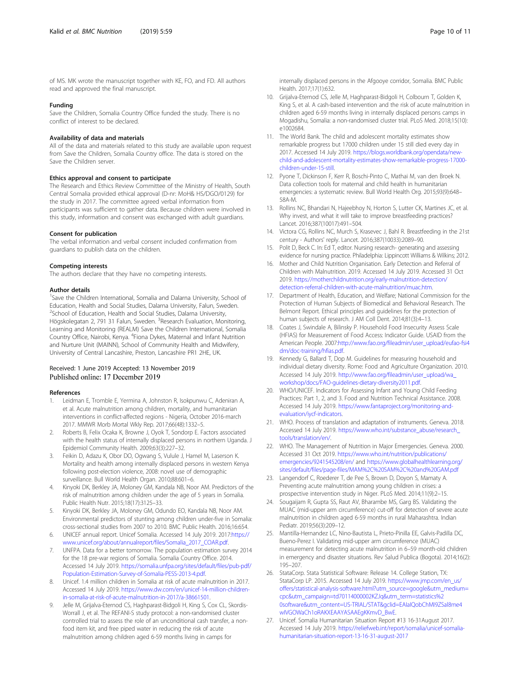<span id="page-9-0"></span>of MS. MK wrote the manuscript together with KE, FO, and FD. All authors read and approved the final manuscript.

#### Funding

Save the Children, Somalia Country Office funded the study. There is no conflict of interest to be declared.

#### Availability of data and materials

All of the data and materials related to this study are available upon request from Save the Children, Somalia Country office. The data is stored on the Save the Children server.

#### Ethics approval and consent to participate

The Research and Ethics Review Committee of the Ministry of Health, South Central Somalia provided ethical approval (D-nr: MoH& HS/DGO/0129) for the study in 2017. The committee agreed verbal information from participants was sufficient to gather data. Because children were involved in this study, information and consent was exchanged with adult guardians.

#### Consent for publication

The verbal information and verbal consent included confirmation from guardians to publish data on the children.

#### Competing interests

The authors declare that they have no competing interests.

#### Author details

<sup>1</sup>Save the Children International, Somalia and Dalarna University, School of Education, Health and Social Studies, Dalarna University, Falun, Sweden. <sup>2</sup>School of Education, Health and Social Studies, Dalarna University, Högskolegatan 2, 791 31 Falun, Sweden. <sup>3</sup>Research Evaluation, Monitoring, Learning and Monitoring (REALM) Save the Children International, Somalia Country Office, Nairobi, Kenya. <sup>4</sup>Fiona Dykes, Maternal and Infant Nutrition and Nurture Unit (MAINN), School of Community Health and Midwifery, University of Central Lancashire, Preston, Lancashire PR1 2HE, UK.

#### Received: 1 June 2019 Accepted: 13 November 2019 Published online: 17 December 2019

#### References

- Leidman E, Tromble E, Yermina A, Johnston R, Isokpunwu C, Adeniran A, et al. Acute malnutrition among children, mortality, and humanitarian interventions in conflict-affected regions - Nigeria, October 2016-march 2017. MMWR Morb Mortal Wkly Rep. 2017;66(48):1332–5.
- 2. Roberts B, Felix Ocaka K, Browne J, Oyok T, Sondorp E. Factors associated with the health status of internally displaced persons in northern Uganda. J Epidemiol Community Health. 2009;63(3):227–32.
- Feikin D, Adazu K, Obor DO, Ogwang S, Vulule J, Hamel M, Laserson K. Mortality and health among internally displaced persons in western Kenya following post-election violence, 2008: novel use of demographic surveillance. Bull World Health Organ. 2010;88:601–6.
- 4. Kinyoki DK, Berkley JA, Moloney GM, Kandala NB, Noor AM. Predictors of the risk of malnutrition among children under the age of 5 years in Somalia. Public Health Nutr. 2015;18(17):3125–33.
- Kinyoki DK, Berkley JA, Moloney GM, Odundo EO, Kandala NB, Noor AM. Environmental predictors of stunting among children under-five in Somalia: cross-sectional studies from 2007 to 2010. BMC Public Health. 2016;16:654.
- 6. UNICEF annual report. Unicef Somalia. Accessed 14 July 2019. 2017:[https://](https://www.unicef.org/about/annualreport/files/Somalia_2017_COAR.pdf) [www.unicef.org/about/annualreport/files/Somalia\\_2017\\_COAR.pdf.](https://www.unicef.org/about/annualreport/files/Somalia_2017_COAR.pdf)
- 7. UNFPA. Data for a better tomorrow. The population estimation survey 2014 for the 18 pre-war regions of Somalia. Somalia Country Office. 2014. Accessed 14 July 2019. [https://somalia.unfpa.org/sites/default/files/pub-pdf/](https://somalia.unfpa.org/sites/default/files/pub-pdf/Population-Estimation-Survey-of-Somalia-PESS-2013-4.pdf) [Population-Estimation-Survey-of-Somalia-PESS-2013-4.pdf](https://somalia.unfpa.org/sites/default/files/pub-pdf/Population-Estimation-Survey-of-Somalia-PESS-2013-4.pdf).
- 8. Unicef. 1.4 million children in Somalia at risk of acute malnutrition in 2017. Accessed 14 July 2019. [https://www.dw.com/en/unicef-14-million-children](https://www.dw.com/en/unicef-14-million-children-in-somalia-at-risk-of-acute-malnutrition-in-2017/a-38661501)[in-somalia-at-risk-of-acute-malnutrition-in-2017/a-38661501.](https://www.dw.com/en/unicef-14-million-children-in-somalia-at-risk-of-acute-malnutrition-in-2017/a-38661501)
- Jelle M, Grijalva-Eternod CS, Haghparast-Bidgoli H, King S, Cox CL, Skordis-Worrall J, et al. The REFANI-S study protocol: a non-randomised cluster controlled trial to assess the role of an unconditional cash transfer, a nonfood item kit, and free piped water in reducing the risk of acute malnutrition among children aged 6-59 months living in camps for

internally displaced persons in the Afgooye corridor, Somalia. BMC Public Health. 2017;17(1):632.

- 10. Grijalva-Eternod CS, Jelle M, Haghparast-Bidgoli H, Colbourn T, Golden K, King S, et al. A cash-based intervention and the risk of acute malnutrition in children aged 6-59 months living in internally displaced persons camps in Mogadishu, Somalia: a non-randomised cluster trial. PLoS Med. 2018;15(10): e1002684
- 11. The World Bank. The child and adolescent mortality estimates show remarkable progress but 17000 children under 15 still died every day in 2017. Accessed 14 July 2019. [https://blogs.worldbank.org/opendata/new](https://blogs.worldbank.org/opendata/new-child-and-adolescent-mortality-estimates-show-remarkable-progress-17000-children-under-15-still)[child-and-adolescent-mortality-estimates-show-remarkable-progress-17000](https://blogs.worldbank.org/opendata/new-child-and-adolescent-mortality-estimates-show-remarkable-progress-17000-children-under-15-still) [children-under-15-still.](https://blogs.worldbank.org/opendata/new-child-and-adolescent-mortality-estimates-show-remarkable-progress-17000-children-under-15-still)
- 12. Pyone T, Dickinson F, Kerr R, Boschi-Pinto C, Mathai M, van den Broek N. Data collection tools for maternal and child health in humanitarian emergencies: a systematic review. Bull World Health Org. 2015;93(9):648– 58A-M.
- 13. Rollins NC, Bhandari N, Hajeebhoy N, Horton S, Lutter CK, Martines JC, et al. Why invest, and what it will take to improve breastfeeding practices? Lancet. 2016;387(10017):491–504.
- 14. Victora CG, Rollins NC, Murch S, Krasevec J, Bahl R. Breastfeeding in the 21st century - Authors' reply. Lancet. 2016;387(10033):2089–90.
- 15. Polit D, Beck C. In: Ed T, editor. Nursing research- generating and assessing evidence for nursing practice. Philadelphia: Lippincott Williams & Wilkins; 2012.
- 16. Mother and Child Nutrition Organisation. Early Detection and Referral of Children with Malnutrition. 2019. Accessed 14 July 2019. Accessed 31 Oct 2019. [https://motherchildnutrition.org/early-malnutrition-detection/](https://motherchildnutrition.org/early-malnutrition-detection/detection-referral-children-with-acute-malnutrition/muac.htm) [detection-referral-children-with-acute-malnutrition/muac.htm.](https://motherchildnutrition.org/early-malnutrition-detection/detection-referral-children-with-acute-malnutrition/muac.htm)
- 17. Department of Health, Education, and Welfare; National Commission for the Protection of Human Subjects of Biomedical and Behavioral Research. The Belmont Report. Ethical principles and guidelines for the protection of human subjects of research. J AM Coll Dent. 2014;81(3):4–13.
- 18. Coates J, Swindale A, Bilinsky P. Household Food Insecurity Assess Scale (HFIAS) for Measurement of Food Access: Indicator Guide. USAID from the American People. 2007:[http://www.fao.org/fileadmin/user\\_upload/eufao-fsi4](http://www.fao.org/fileadmin/user_upload/eufao-fsi4dm/doc-training/hfias.pdf) [dm/doc-training/hfias.pdf.](http://www.fao.org/fileadmin/user_upload/eufao-fsi4dm/doc-training/hfias.pdf)
- 19. Kennedy G, Ballard T, Dop M. Guidelines for measuring household and individual dietary diversity. Rome: Food and Agriculture Organization. 2010. Accessed 14 July 2019. [http://www.fao.org/fileadmin/user\\_upload/wa\\_](http://www.fao.org/fileadmin/user_upload/wa_workshop/docs/FAO-guidelines-dietary-diversity2011.pdf) [workshop/docs/FAO-guidelines-dietary-diversity2011.pdf](http://www.fao.org/fileadmin/user_upload/wa_workshop/docs/FAO-guidelines-dietary-diversity2011.pdf).
- 20. WHO/UNICEF. Indicators for Assessing Infant and Young Child Feeding Practices: Part 1, 2, and 3. Food and Nutrition Technical Assistance. 2008. Accessed 14 July 2019. [https://www.fantaproject.org/monitoring-and](https://www.fantaproject.org/monitoring-and-evaluation/iycf-indicators)[evaluation/iycf-indicators.](https://www.fantaproject.org/monitoring-and-evaluation/iycf-indicators)
- 21. WHO. Process of translation and adaptation of instruments. Geneva. 2018. Accessed 14 July 2019. [https://www.who.int/substance\\_abuse/research\\_](https://www.who.int/substance_abuse/research_tools/translation/en/) [tools/translation/en/.](https://www.who.int/substance_abuse/research_tools/translation/en/)
- 22. WHO. The Management of Nutrition in Major Emergencies. Geneva. 2000. Accessed 31 Oct 2019. [https://www.who.int/nutrition/publications/](https://www.who.int/nutrition/publications/emergencies/9241545208/en/) [emergencies/9241545208/en/](https://www.who.int/nutrition/publications/emergencies/9241545208/en/) and [https://www.globalhealthlearning.org/](https://www.globalhealthlearning.org/sites/default/files/page-files/MAM%2C%20SAM%2C%20and%20GAM.pdf) [sites/default/files/page-files/MAM%2C%20SAM%2C%20and%20GAM.pdf](https://www.globalhealthlearning.org/sites/default/files/page-files/MAM%2C%20SAM%2C%20and%20GAM.pdf)
- 23. Langendorf C, Roederer T, de Pee S, Brown D, Doyon S, Mamaty A. Preventing acute malnutrition among young children in crises: a prospective intervention study in Niger. PLoS Med. 2014;11(9):2–15.
- 24. Sougaijam R, Gupta SS, Raut AV, Bharambe MS, Garg BS. Validating the MUAC (mid-upper arm circumference) cut-off for detection of severe acute malnutrition in children aged 6-59 months in rural Maharashtra. Indian Pediatr. 2019;56(3):209–12.
- 25. Mantilla-Hernandez LC, Nino-Bautista L, Prieto-Pinilla EE, Galvis-Padilla DC, Bueno-Perez I. Validating mid-upper arm circumference (MUAC) measurement for detecting acute malnutrition in 6–59 month-old children in emergency and disaster situations. Rev Salud Publica (Bogota). 2014;16(2): 195–207.
- 26. StataCorp. Stata Statistical Software: Release 14. College Station, TX: StataCorp LP. 2015. Accessed 14 July 2019. [https://www.jmp.com/en\\_us/](https://www.jmp.com/en_us/offers/statistical-analysis-software.html?utm_source=google&utm_medium=cpc&utm_campaign=td70114000002KZJq&utm_term=statistics%20software&utm_content=US-TRIAL/STAT&gclid=EAIaIQobChMI9ZSal8me4wIVGOWaCh1oRAKXEAAYASAAEgKKmvD_BwE) [offers/statistical-analysis-software.html?utm\\_source=google&utm\\_medium=](https://www.jmp.com/en_us/offers/statistical-analysis-software.html?utm_source=google&utm_medium=cpc&utm_campaign=td70114000002KZJq&utm_term=statistics%20software&utm_content=US-TRIAL/STAT&gclid=EAIaIQobChMI9ZSal8me4wIVGOWaCh1oRAKXEAAYASAAEgKKmvD_BwE) [cpc&utm\\_campaign=td70114000002KZJq&utm\\_term=statistics%2](https://www.jmp.com/en_us/offers/statistical-analysis-software.html?utm_source=google&utm_medium=cpc&utm_campaign=td70114000002KZJq&utm_term=statistics%20software&utm_content=US-TRIAL/STAT&gclid=EAIaIQobChMI9ZSal8me4wIVGOWaCh1oRAKXEAAYASAAEgKKmvD_BwE) [0software&utm\\_content=US-TRIAL/STAT&gclid=EAIaIQobChMI9ZSal8me4](https://www.jmp.com/en_us/offers/statistical-analysis-software.html?utm_source=google&utm_medium=cpc&utm_campaign=td70114000002KZJq&utm_term=statistics%20software&utm_content=US-TRIAL/STAT&gclid=EAIaIQobChMI9ZSal8me4wIVGOWaCh1oRAKXEAAYASAAEgKKmvD_BwE) [wIVGOWaCh1oRAKXEAAYASAAEgKKmvD\\_BwE](https://www.jmp.com/en_us/offers/statistical-analysis-software.html?utm_source=google&utm_medium=cpc&utm_campaign=td70114000002KZJq&utm_term=statistics%20software&utm_content=US-TRIAL/STAT&gclid=EAIaIQobChMI9ZSal8me4wIVGOWaCh1oRAKXEAAYASAAEgKKmvD_BwE).
- 27. Unicef. Somalia Humanitarian Situation Report #13 16-31August 2017. Accessed 14 July 2019. [https://reliefweb.int/report/somalia/unicef-somalia](https://reliefweb.int/report/somalia/unicef-somalia-humanitarian-situation-report-13-16-31-august-2017)[humanitarian-situation-report-13-16-31-august-2017](https://reliefweb.int/report/somalia/unicef-somalia-humanitarian-situation-report-13-16-31-august-2017)